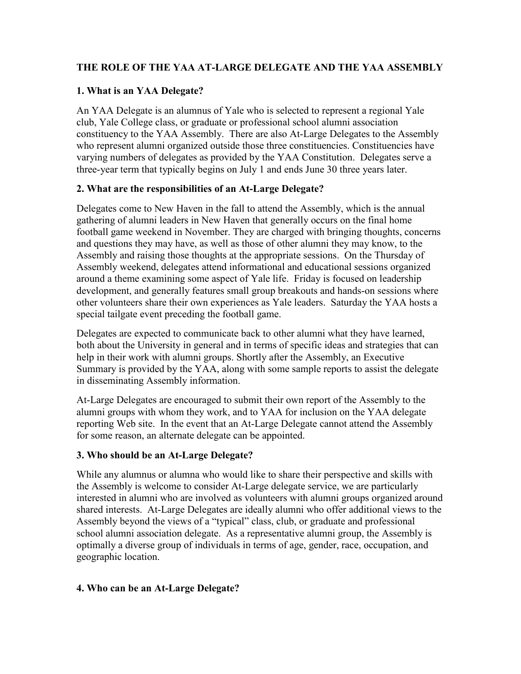# **THE ROLE OF THE YAA AT-LARGE DELEGATE AND THE YAA ASSEMBLY**

## **1. What is an YAA Delegate?**

An YAA Delegate is an alumnus of Yale who is selected to represent a regional Yale club, Yale College class, or graduate or professional school alumni association constituency to the YAA Assembly. There are also At-Large Delegates to the Assembly who represent alumni organized outside those three constituencies. Constituencies have varying numbers of delegates as provided by the YAA Constitution. Delegates serve a three-year term that typically begins on July 1 and ends June 30 three years later.

### **2. What are the responsibilities of an At-Large Delegate?**

Delegates come to New Haven in the fall to attend the Assembly, which is the annual gathering of alumni leaders in New Haven that generally occurs on the final home football game weekend in November. They are charged with bringing thoughts, concerns and questions they may have, as well as those of other alumni they may know, to the Assembly and raising those thoughts at the appropriate sessions. On the Thursday of Assembly weekend, delegates attend informational and educational sessions organized around a theme examining some aspect of Yale life. Friday is focused on leadership development, and generally features small group breakouts and hands-on sessions where other volunteers share their own experiences as Yale leaders. Saturday the YAA hosts a special tailgate event preceding the football game.

Delegates are expected to communicate back to other alumni what they have learned, both about the University in general and in terms of specific ideas and strategies that can help in their work with alumni groups. Shortly after the Assembly, an Executive Summary is provided by the YAA, along with some sample reports to assist the delegate in disseminating Assembly information.

At-Large Delegates are encouraged to submit their own report of the Assembly to the alumni groups with whom they work, and to YAA for inclusion on the YAA delegate reporting Web site. In the event that an At-Large Delegate cannot attend the Assembly for some reason, an alternate delegate can be appointed.

### **3. Who should be an At-Large Delegate?**

While any alumnus or alumna who would like to share their perspective and skills with the Assembly is welcome to consider At-Large delegate service, we are particularly interested in alumni who are involved as volunteers with alumni groups organized around shared interests. At-Large Delegates are ideally alumni who offer additional views to the Assembly beyond the views of a "typical" class, club, or graduate and professional school alumni association delegate. As a representative alumni group, the Assembly is optimally a diverse group of individuals in terms of age, gender, race, occupation, and geographic location.

### **4. Who can be an At-Large Delegate?**